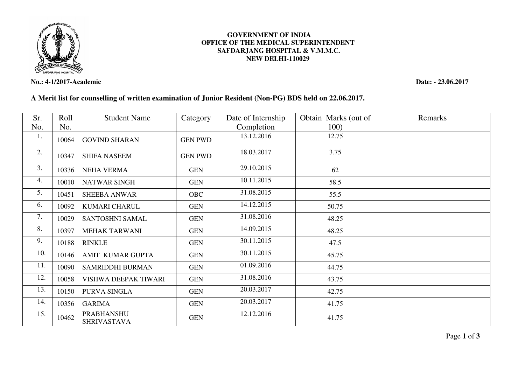

**No.: 4-1/2017-Academic Date: - 23.06.2017** 

## **GOVERNMENT OF INDIA OFFICE OF THE MEDICAL SUPERINTENDENT SAFDARJANG HOSPITAL & V.M.M.C. NEW DELHI-110029**

## **A Merit list for counselling of written examination of Junior Resident (Non-PG) BDS held on 22.06.2017.**

| Sr. | Roll  | <b>Student Name</b>                     | Category       | Date of Internship | Obtain Marks (out of | Remarks |
|-----|-------|-----------------------------------------|----------------|--------------------|----------------------|---------|
| No. | No.   |                                         |                | Completion         | 100)                 |         |
| 1.  | 10064 | <b>GOVIND SHARAN</b>                    | <b>GEN PWD</b> | 13.12.2016         | 12.75                |         |
| 2.  | 10347 | <b>SHIFA NASEEM</b>                     | <b>GEN PWD</b> | 18.03.2017         | 3.75                 |         |
| 3.  | 10336 | <b>NEHA VERMA</b>                       | <b>GEN</b>     | 29.10.2015         | 62                   |         |
| 4.  | 10010 | NATWAR SINGH                            | <b>GEN</b>     | 10.11.2015         | 58.5                 |         |
| 5.  | 10451 | <b>SHEEBA ANWAR</b>                     | <b>OBC</b>     | 31.08.2015         | 55.5                 |         |
| 6.  | 10092 | KUMARI CHARUL                           | <b>GEN</b>     | 14.12.2015         | 50.75                |         |
| 7.  | 10029 | SANTOSHNI SAMAL                         | <b>GEN</b>     | 31.08.2016         | 48.25                |         |
| 8.  | 10397 | <b>MEHAK TARWANI</b>                    | <b>GEN</b>     | 14.09.2015         | 48.25                |         |
| 9.  | 10188 | <b>RINKLE</b>                           | <b>GEN</b>     | 30.11.2015         | 47.5                 |         |
| 10. | 10146 | AMIT KUMAR GUPTA                        | <b>GEN</b>     | 30.11.2015         | 45.75                |         |
| 11. | 10090 | SAMRIDDHI BURMAN                        | <b>GEN</b>     | 01.09.2016         | 44.75                |         |
| 12. | 10058 | VISHWA DEEPAK TIWARI                    | <b>GEN</b>     | 31.08.2016         | 43.75                |         |
| 13. | 10150 | PURVA SINGLA                            | <b>GEN</b>     | 20.03.2017         | 42.75                |         |
| 14. | 10356 | <b>GARIMA</b>                           | <b>GEN</b>     | 20.03.2017         | 41.75                |         |
| 15. | 10462 | <b>PRABHANSHU</b><br><b>SHRIVASTAVA</b> | <b>GEN</b>     | 12.12.2016         | 41.75                |         |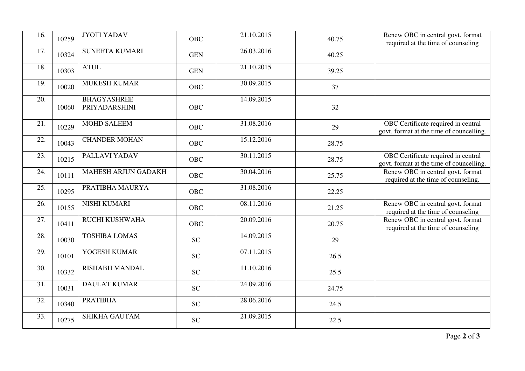| $\overline{16}$ . | 10259 | <b>JYOTI YADAV</b>                  | <b>OBC</b> | 21.10.2015 | 40.75 | Renew OBC in central govt. format<br>required at the time of counseling         |
|-------------------|-------|-------------------------------------|------------|------------|-------|---------------------------------------------------------------------------------|
| 17.               | 10324 | <b>SUNEETA KUMARI</b>               | <b>GEN</b> | 26.03.2016 | 40.25 |                                                                                 |
| 18.               | 10303 | <b>ATUL</b>                         | <b>GEN</b> | 21.10.2015 | 39.25 |                                                                                 |
| 19.               | 10020 | <b>MUKESH KUMAR</b>                 | <b>OBC</b> | 30.09.2015 | 37    |                                                                                 |
| 20.               | 10060 | <b>BHAGYASHREE</b><br>PRIYADARSHINI | <b>OBC</b> | 14.09.2015 | 32    |                                                                                 |
| 21.               | 10229 | <b>MOHD SALEEM</b>                  | <b>OBC</b> | 31.08.2016 | 29    | OBC Certificate required in central<br>govt. format at the time of councelling. |
| 22.               | 10043 | <b>CHANDER MOHAN</b>                | <b>OBC</b> | 15.12.2016 | 28.75 |                                                                                 |
| 23.               | 10215 | PALLAVI YADAV                       | <b>OBC</b> | 30.11.2015 | 28.75 | OBC Certificate required in central<br>govt. format at the time of councelling. |
| 24.               | 10111 | <b>MAHESH ARJUN GADAKH</b>          | <b>OBC</b> | 30.04.2016 | 25.75 | Renew OBC in central govt. format<br>required at the time of counseling.        |
| 25.               | 10295 | PRATIBHA MAURYA                     | <b>OBC</b> | 31.08.2016 | 22.25 |                                                                                 |
| 26.               | 10155 | <b>NISHI KUMARI</b>                 | <b>OBC</b> | 08.11.2016 | 21.25 | Renew OBC in central govt. format<br>required at the time of counseling         |
| 27.               | 10411 | RUCHI KUSHWAHA                      | <b>OBC</b> | 20.09.2016 | 20.75 | Renew OBC in central govt. format<br>required at the time of counseling         |
| 28.               | 10030 | <b>TOSHIBA LOMAS</b>                | <b>SC</b>  | 14.09.2015 | 29    |                                                                                 |
| 29.               | 10101 | YOGESH KUMAR                        | <b>SC</b>  | 07.11.2015 | 26.5  |                                                                                 |
| 30.               | 10332 | <b>RISHABH MANDAL</b>               | <b>SC</b>  | 11.10.2016 | 25.5  |                                                                                 |
| 31.               | 10031 | <b>DAULAT KUMAR</b>                 | <b>SC</b>  | 24.09.2016 | 24.75 |                                                                                 |
| 32.               | 10340 | <b>PRATIBHA</b>                     | <b>SC</b>  | 28.06.2016 | 24.5  |                                                                                 |
| 33.               | 10275 | <b>SHIKHA GAUTAM</b>                | <b>SC</b>  | 21.09.2015 | 22.5  |                                                                                 |